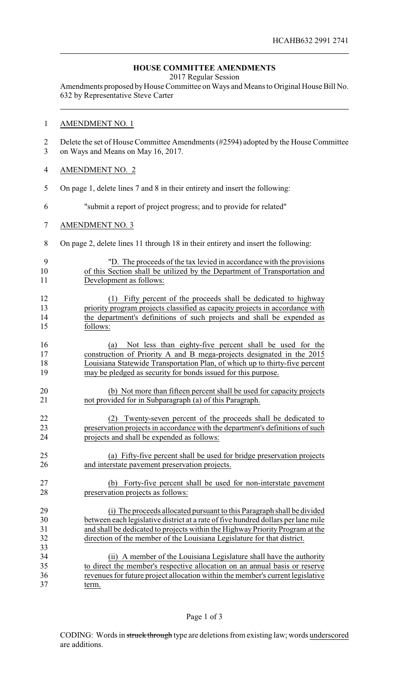## **HOUSE COMMITTEE AMENDMENTS**

2017 Regular Session

Amendments proposed by House Committee on Ways and Means to Original House Bill No. 632 by Representative Steve Carter

## AMENDMENT NO. 1

- Delete the set of House Committee Amendments (#2594) adopted by the House Committee on Ways and Means on May 16, 2017.
- AMENDMENT NO. 2
- On page 1, delete lines 7 and 8 in their entirety and insert the following:
- "submit a report of project progress; and to provide for related"
- AMENDMENT NO. 3

- On page 2, delete lines 11 through 18 in their entirety and insert the following:
- "D. The proceeds of the tax levied in accordance with the provisions of this Section shall be utilized by the Department of Transportation and Development as follows:
- (1) Fifty percent of the proceeds shall be dedicated to highway priority program projects classified as capacity projects in accordance with the department's definitions of such projects and shall be expended as follows:
- (a) Not less than eighty-five percent shall be used for the construction of Priority A and B mega-projects designated in the 2015 Louisiana Statewide Transportation Plan, of which up to thirty-five percent may be pledged as security for bonds issued for this purpose.
- (b) Not more than fifteen percent shall be used for capacity projects not provided for in Subparagraph (a) of this Paragraph.
- (2) Twenty-seven percent of the proceeds shall be dedicated to preservation projects in accordance with the department's definitions of such projects and shall be expended as follows:
- (a) Fifty-five percent shall be used for bridge preservation projects and interstate pavement preservation projects.
- (b) Forty-five percent shall be used for non-interstate pavement preservation projects as follows:
- (i) The proceeds allocated pursuant to this Paragraph shall be divided between each legislative district at a rate of five hundred dollars per lane mile and shall be dedicated to projects within the Highway Priority Program at the direction of the member of the Louisiana Legislature for that district.
- (ii) A member of the Louisiana Legislature shall have the authority to direct the member's respective allocation on an annual basis or reserve revenues for future project allocation within the member's current legislative term.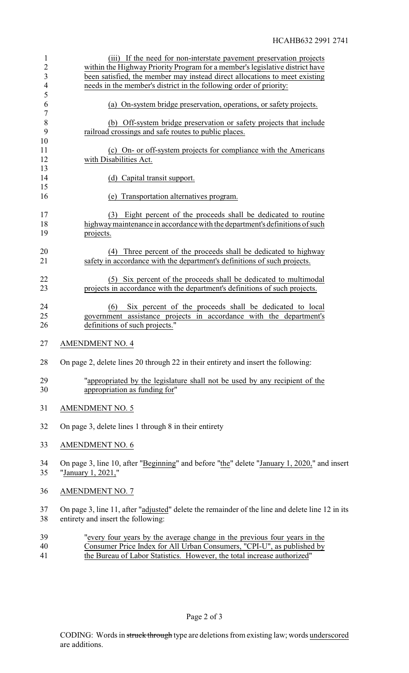| $\mathbf{1}$<br>$\overline{c}$<br>$\overline{\mathbf{3}}$<br>$\overline{\mathcal{A}}$ | (iii) If the need for non-interstate pavement preservation projects<br>within the Highway Priority Program for a member's legislative district have<br>been satisfied, the member may instead direct allocations to meet existing<br>needs in the member's district in the following order of priority: |
|---------------------------------------------------------------------------------------|---------------------------------------------------------------------------------------------------------------------------------------------------------------------------------------------------------------------------------------------------------------------------------------------------------|
| 5<br>6                                                                                | (a) On-system bridge preservation, operations, or safety projects.                                                                                                                                                                                                                                      |
| $\overline{7}$<br>8<br>9                                                              | (b) Off-system bridge preservation or safety projects that include<br>railroad crossings and safe routes to public places.                                                                                                                                                                              |
| 10<br>11<br>12                                                                        | (c) On- or off-system projects for compliance with the Americans<br>with Disabilities Act.                                                                                                                                                                                                              |
| 13<br>14<br>15                                                                        | (d) Capital transit support.                                                                                                                                                                                                                                                                            |
| 16                                                                                    | (e) Transportation alternatives program.                                                                                                                                                                                                                                                                |
| 17<br>18<br>19                                                                        | (3) Eight percent of the proceeds shall be dedicated to routine<br>highway maintenance in accordance with the department's definitions of such<br>projects.                                                                                                                                             |
| 20<br>21                                                                              | Three percent of the proceeds shall be dedicated to highway<br>(4)<br>safety in accordance with the department's definitions of such projects.                                                                                                                                                          |
| 22<br>23                                                                              | Six percent of the proceeds shall be dedicated to multimodal<br>(5)<br>projects in accordance with the department's definitions of such projects.                                                                                                                                                       |
| 24<br>25<br>26                                                                        | (6)<br>Six percent of the proceeds shall be dedicated to local<br>government assistance projects in accordance with the department's<br>definitions of such projects."                                                                                                                                  |
| 27                                                                                    | <b>AMENDMENT NO. 4</b>                                                                                                                                                                                                                                                                                  |
| 28                                                                                    | On page 2, delete lines 20 through 22 in their entirety and insert the following:                                                                                                                                                                                                                       |
| 29<br>30                                                                              | "appropriated by the legislature shall not be used by any recipient of the<br>appropriation as funding for"                                                                                                                                                                                             |
| 31                                                                                    | <b>AMENDMENT NO. 5</b>                                                                                                                                                                                                                                                                                  |
| 32                                                                                    | On page 3, delete lines 1 through 8 in their entirety                                                                                                                                                                                                                                                   |
| 33                                                                                    | <b>AMENDMENT NO. 6</b>                                                                                                                                                                                                                                                                                  |
| 34<br>35                                                                              | On page 3, line 10, after "Beginning" and before "the" delete "January 1, 2020," and insert<br>"January 1, 2021,"                                                                                                                                                                                       |
| 36                                                                                    | <b>AMENDMENT NO. 7</b>                                                                                                                                                                                                                                                                                  |
| 37<br>38                                                                              | On page 3, line 11, after "adjusted" delete the remainder of the line and delete line 12 in its<br>entirety and insert the following:                                                                                                                                                                   |
| 39<br>40                                                                              | "every four years by the average change in the previous four years in the<br>Consumer Price Index for All Urban Consumers, "CPI-U", as published by                                                                                                                                                     |

41 the Bureau of Labor Statistics. However, the total increase authorized"